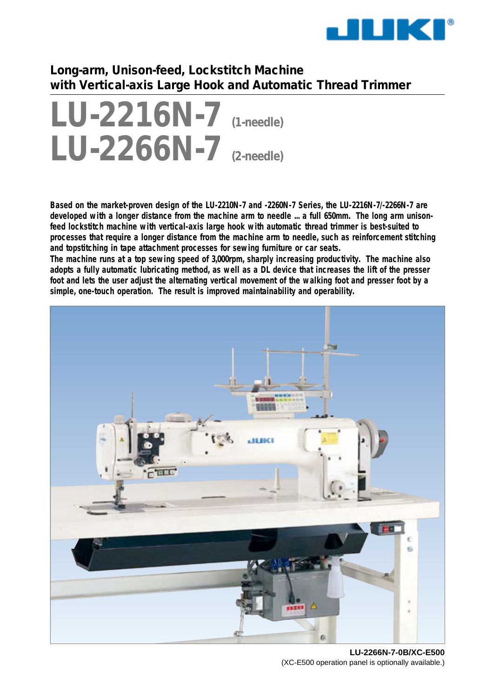

# **Long-arm, Unison-feed, Lockstitch Machine with Vertical-axis Large Hook and Automatic Thread Trimmer**

# **LU-2216N-7 (1-needle) LU-2266N-7 (2-needle)**

**Based on the market-proven design of the LU-2210N-7 and -2260N-7 Series, the LU-2216N-7/-2266N-7 are developed with a longer distance from the machine arm to needle ... a full 650mm. The long arm unisonfeed lockstitch machine with vertical-axis large hook with automatic thread trimmer is best-suited to processes that require a longer distance from the machine arm to needle, such as reinforcement stitching and topstitching in tape attachment processes for sewing furniture or car seats.**

**The machine runs at a top sewing speed of 3,000rpm, sharply increasing productivity. The machine also adopts a fully automatic lubricating method, as well as a DL device that increases the lift of the presser foot and lets the user adjust the alternating vertical movement of the walking foot and presser foot by a simple, one-touch operation. The result is improved maintainability and operability.**



**LU-2266N-7-0B/XC-E500** (XC-E500 operation panel is optionally available.)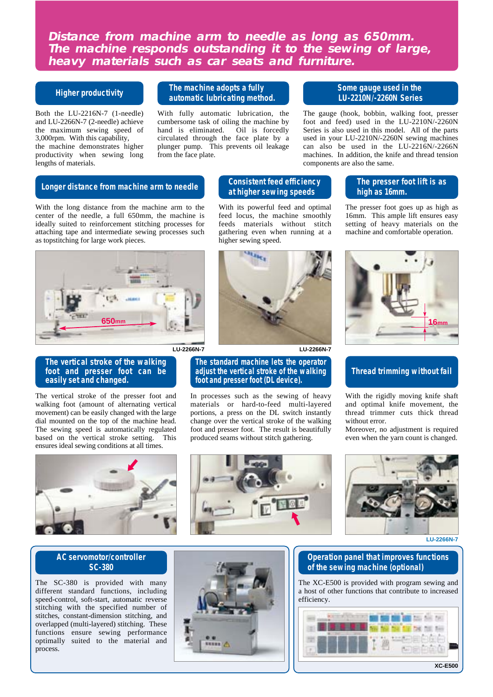**Distance from machine arm to needle as long as 650mm. The machine responds outstanding it to the sewing of large, heavy materials such as car seats and furniture.**

## **Higher productivity**

Both the LU-2216N-7 (1-needle) and LU-2266N-7 (2-needle) achieve the maximum sewing speed of 3,000rpm. With this capability, the machine demonstrates higher productivity when sewing long lengths of materials.

## **The machine adopts a fully automatic lubricating method.**

With fully automatic lubrication, the cumbersome task of oiling the machine by hand is eliminated. Oil is forcedly circulated through the face plate by a plunger pump. This prevents oil leakage from the face plate.

## **Some gauge used in the LU-2210N/-2260N Series**

The gauge (hook, bobbin, walking foot, presser foot and feed) used in the LU-2210N/-2260N Series is also used in this model. All of the parts used in your LU-2210N/-2260N sewing machines can also be used in the LU-2216N/-2266N machines. In addition, the knife and thread tension components are also the same.

#### **Longer distance from machine arm to needle**

With the long distance from the machine arm to the center of the needle, a full 650mm, the machine is ideally suited to reinforcement stitching processes for attaching tape and intermediate sewing processes such as topstitching for large work pieces.



#### **The vertical stroke of the walking foot and presser foot can be easily set and changed.**

The vertical stroke of the presser foot and walking foot (amount of alternating vertical movement) can be easily changed with the large dial mounted on the top of the machine head. The sewing speed is automatically regulated based on the vertical stroke setting. This ensures ideal sewing conditions at all times.



## **AC servomotor/controller SC-380**

The SC-380 is provided with many different standard functions, including speed-control, soft-start, automatic reverse stitching with the specified number of stitches, constant-dimension stitching, and overlapped (multi-layered) stitching. These functions ensure sewing performance optimally suited to the material and process.



# **Consistent feed efficiency at higher sewing speeds**

With its powerful feed and optimal feed locus, the machine smoothly feeds materials without stitch gathering even when running at a higher sewing speed.



#### **The standard machine lets the operator adjust the vertical stroke of the walking foot and presser foot (DL device).**

In processes such as the sewing of heavy materials or hard-to-feed multi-layered portions, a press on the DL switch instantly change over the vertical stroke of the walking foot and presser foot. The result is beautifully produced seams without stitch gathering.

# **The presser foot lift is as high as 16mm.**

The presser foot goes up as high as 16mm. This ample lift ensures easy setting of heavy materials on the machine and comfortable operation.



# **Thread trimming without fail**

With the rigidly moving knife shaft and optimal knife movement, the thread trimmer cuts thick thread without error.

Moreover, no adjustment is required even when the yarn count is changed.



**LU-2266N-7**

## **Operation panel that improves functions of the sewing machine (optional)**

The XC-E500 is provided with program sewing and a host of other functions that contribute to increased efficiency.

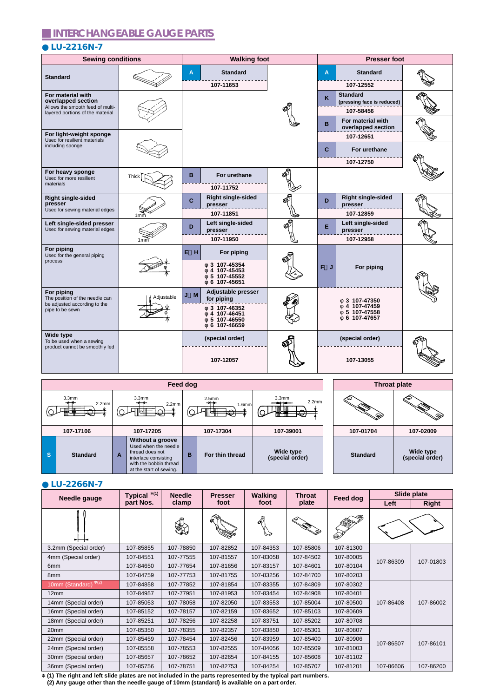# **INTERCHANGEABLE GAUGE PARTS**

# **LU-2216N-7**

| <b>Sewing conditions</b>                                                                                        |                 | <b>Walking foot</b>                                                                               |    | <b>Presser foot</b>                                             |  |  |  |
|-----------------------------------------------------------------------------------------------------------------|-----------------|---------------------------------------------------------------------------------------------------|----|-----------------------------------------------------------------|--|--|--|
| <b>Standard</b>                                                                                                 |                 | <b>Standard</b><br>A<br>107-11653                                                                 |    | <b>Standard</b><br>A<br>107-12552                               |  |  |  |
| For material with<br>overlapped section<br>Allows the smooth feed of multi-<br>layered portions of the material |                 |                                                                                                   |    | <b>Standard</b><br>κ<br>(pressing face is reduced)<br>107-58456 |  |  |  |
| For light-weight sponge<br>Used for resilient materials                                                         |                 |                                                                                                   |    | For material with<br>в<br>overlapped section<br>107-12651       |  |  |  |
| including sponge                                                                                                |                 |                                                                                                   |    | For urethane<br>C<br>107-12750                                  |  |  |  |
| For heavy sponge<br>Used for more resilient<br>materials                                                        | <b>Thick</b>    | в<br>For urethane<br>107-11752                                                                    | ØF |                                                                 |  |  |  |
| <b>Right single-sided</b><br>presser<br>Used for sewing material edges                                          | 1mm             | <b>Right single-sided</b><br>C<br>presser<br>107-11851                                            | ଈି | <b>Right single-sided</b><br>D<br>presser<br>107-12859          |  |  |  |
| Left single-sided presser<br>Used for sewing material edges                                                     | 1 <sub>mm</sub> | Left single-sided<br>D<br>presser<br>107-11950                                                    | ళ్ | Left single-sided<br>Е<br>presser<br>107-12958                  |  |  |  |
| For piping<br>Used for the general piping<br>process                                                            |                 | E H<br>For piping<br>3 107-45354<br>4 107-45453<br>5 107-45552<br>6 107-45651                     |    | F<br>For piping<br>J                                            |  |  |  |
| For piping<br>The position of the needle can<br>be adjusted according to the<br>pipe to be sewn                 | Adjustable      | Adjustable presser<br>M<br>for piping<br>3 107-46352<br>4 107-46451<br>5 107-46550<br>6 107-46659 |    | 3 107-47350<br>107-47459<br>5 107-47558<br>6 107-47657          |  |  |  |
| Wide type<br>To be used when a sewing<br>product cannot be smoothly fed                                         |                 | (special order)<br>107-12057                                                                      |    | (special order)<br>107-13055                                    |  |  |  |

|    | Feed dog                               |   |                                                                                                                                          |   |                                                       | <b>Throat plate</b>          |                 |                              |
|----|----------------------------------------|---|------------------------------------------------------------------------------------------------------------------------------------------|---|-------------------------------------------------------|------------------------------|-----------------|------------------------------|
|    | 3.3 <sub>mm</sub><br>2.2 <sub>mm</sub> |   | 3.3 <sub>mm</sub><br>**<br>2.2 <sub>mm</sub><br>प∰<br>₩                                                                                  |   | 2.5 <sub>mm</sub><br>1.6 <sub>mm</sub><br>™क्ति⊨<br>₩ | 3.3 <sub>mm</sub><br>2.2mm   | ພ<br>.93        | ພ<br>Q.                      |
|    | 107-17106                              |   | 107-17205                                                                                                                                |   | 107-17304                                             | 107-39001                    | 107-01704       | 107-02009                    |
| ∣s | <b>Standard</b>                        | A | Without a groove<br>Used when the needle<br>thread does not<br>interlace consisting<br>with the bobbin thread<br>at the start of sewing. | в | For thin thread                                       | Wide type<br>(special order) | <b>Standard</b> | Wide type<br>(special order) |

## **LU-2266N-7**

| <b>Needle gauge</b>       | Typical *(1) | <b>Needle</b> | <b>Presser</b> | <b>Walking</b>             | <b>Throat</b> | Feed dog  | Slide plate |              |
|---------------------------|--------------|---------------|----------------|----------------------------|---------------|-----------|-------------|--------------|
|                           | part Nos.    | clamp         | foot           | foot                       | plate         |           | Left        | <b>Right</b> |
| ∽⊢⊣≺                      |              |               |                | $\mathfrak{S}^{\boxtimes}$ |               | Ø)        |             |              |
| 3.2mm (Special order)     | 107-85855    | 107-78850     | 107-82852      | 107-84353                  | 107-85806     | 107-81300 |             |              |
| 4mm (Special order)       | 107-84551    | 107-77555     | 107-81557      | 107-83058                  | 107-84502     | 107-80005 | 107-86309   | 107-01803    |
| 6 <sub>mm</sub>           | 107-84650    | 107-77654     | 107-81656      | 107-83157                  | 107-84601     | 107-80104 |             |              |
| 8 <sub>mm</sub>           | 107-84759    | 107-77753     | 107-81755      | 107-83256                  | 107-84700     | 107-80203 |             |              |
| $*(2)$<br>10mm (Standard) | 107-84858    | 107-77852     | 107-81854      | 107-83355                  | 107-84809     | 107-80302 |             |              |
| 12mm                      | 107-84957    | 107-77951     | 107-81953      | 107-83454                  | 107-84908     | 107-80401 |             |              |
| 14mm (Special order)      | 107-85053    | 107-78058     | 107-82050      | 107-83553                  | 107-85004     | 107-80500 | 107-86408   | 107-86002    |
| 16mm (Special order)      | 107-85152    | 107-78157     | 107-82159      | 107-83652                  | 107-85103     | 107-80609 |             |              |
| 18mm (Special order)      | 107-85251    | 107-78256     | 107-82258      | 107-83751                  | 107-85202     | 107-80708 |             |              |
| 20 <sub>mm</sub>          | 107-85350    | 107-78355     | 107-82357      | 107-83850                  | 107-85301     | 107-80807 |             |              |
| 22mm (Special order)      | 107-85459    | 107-78454     | 107-82456      | 107-83959                  | 107-85400     | 107-80906 | 107-86507   | 107-86101    |
| 24mm (Special order)      | 107-85558    | 107-78553     | 107-82555      | 107-84056                  | 107-85509     | 107-81003 |             |              |
| 30mm (Special order)      | 107-85657    | 107-78652     | 107-82654      | 107-84155                  | 107-85608     | 107-81102 |             |              |
| 36mm (Special order)      | 107-85756    | 107-78751     | 107-82753      | 107-84254                  | 107-85707     | 107-81201 | 107-86606   | 107-86200    |

✽ **(1) The right and left slide plates are not included in the parts represented by the typical part numbers.**

 **(2) Any gauge other than the needle gauge of 10mm (standard) is available on a part order.**